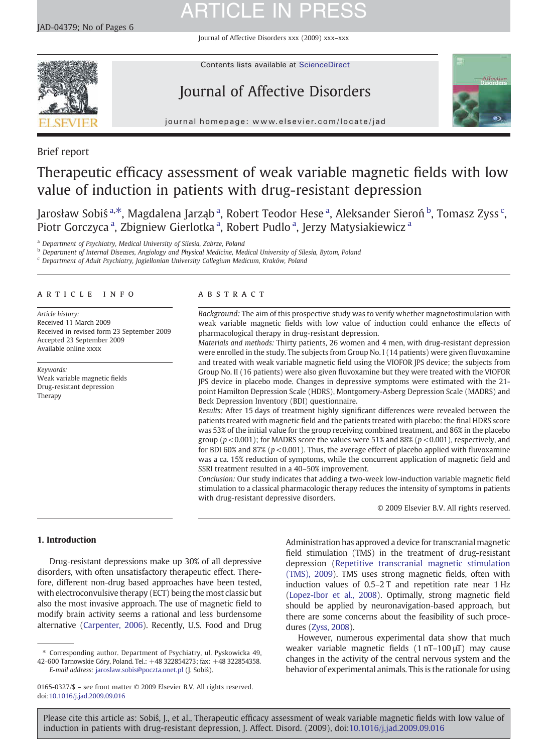# **ARTICLE IN PRESS**

Journal of Affective Disorders xxx (2009) xxx–xxx



Contents lists available at [ScienceDirect](http://www.sciencedirect.com/science/journal/01650327)

## Journal of Affective Disorders



journal homepage: www.elsevier.com/locate/jad

Brief report

### Therapeutic efficacy assessment of weak variable magnetic fields with low value of induction in patients with drug-resistant depression

J[a](#page-0-0)rosław So[b](#page-0-0)iś <sup>a, $\ast$ </sup>, Magdalena Jarząb <sup>a</sup>, Robert Teodor Hese <sup>a</sup>, Aleksander Sieroń <sup>b</sup>, Tomasz Zyss <sup>[c](#page-0-0)</sup>, Piotr Gorczyc[a](#page-0-0)<sup>a</sup>, Zbigniew Gierlotka<sup>a</sup>, Robert Pudlo<sup>a</sup>, Jerzy Matysiakiewicz<sup>a</sup>

<sup>a</sup> Department of Psychiatry, Medical University of Silesia, Zabrze, Poland

**b Department of Internal Diseases, Angiology and Physical Medicine, Medical University of Silesia, Bytom, Poland** 

<sup>c</sup> Department of Adult Psychiatry, Jagiellonian University Collegium Medicum, Kraków, Poland

### article info abstract

Article history: Received 11 March 2009 Received in revised form 23 September 2009 Accepted 23 September 2009 Available online xxxx

Keywords: Weak variable magnetic fields Drug-resistant depression Therapy

Background: The aim of this prospective study was to verify whether magnetostimulation with weak variable magnetic fields with low value of induction could enhance the effects of pharmacological therapy in drug-resistant depression.

Materials and methods: Thirty patients, 26 women and 4 men, with drug-resistant depression were enrolled in the study. The subjects from Group No. I (14 patients) were given fluvoxamine and treated with weak variable magnetic field using the VIOFOR JPS device; the subjects from Group No. II (16 patients) were also given fluvoxamine but they were treated with the VIOFOR JPS device in placebo mode. Changes in depressive symptoms were estimated with the 21 point Hamilton Depression Scale (HDRS), Montgomery-Asberg Depression Scale (MADRS) and Beck Depression Inventory (BDI) questionnaire.

Results: After 15 days of treatment highly significant differences were revealed between the patients treated with magnetic field and the patients treated with placebo: the final HDRS score was 53% of the initial value for the group receiving combined treatment, and 86% in the placebo group ( $p < 0.001$ ); for MADRS score the values were 51% and 88% ( $p < 0.001$ ), respectively, and for BDI 60% and 87% ( $p < 0.001$ ). Thus, the average effect of placebo applied with fluvoxamine was a ca. 15% reduction of symptoms, while the concurrent application of magnetic field and SSRI treatment resulted in a 40–50% improvement.

Conclusion: Our study indicates that adding a two-week low-induction variable magnetic field stimulation to a classical pharmacologic therapy reduces the intensity of symptoms in patients with drug-resistant depressive disorders.

© 2009 Elsevier B.V. All rights reserved.

### 1. Introduction

Drug-resistant depressions make up 30% of all depressive disorders, with often unsatisfactory therapeutic effect. Therefore, different non-drug based approaches have been tested, with electroconvulsive therapy (ECT) being the most classic but also the most invasive approach. The use of magnetic field to modify brain activity seems a rational and less burdensome alternative [\(Carpenter, 2006\)](#page-5-0). Recently, U.S. Food and Drug

⁎ Corresponding author. Department of Psychiatry, ul. Pyskowicka 49, 42-600 Tarnowskie Góry, Poland. Tel.: +48 322854273; fax: +48 322854358. E-mail address: [jaroslaw.sobis@poczta.onet.pl](mailto:jaroslaw.sobis@poczta.onet.pl) (J. Sobiś).

Administration has approved a device for transcranial magnetic field stimulation (TMS) in the treatment of drug-resistant depression ([Repetitive transcranial magnetic stimulation](#page-5-0) [\(TMS\), 2009\)](#page-5-0). TMS uses strong magnetic fields, often with induction values of 0.5–2 T and repetition rate near 1 Hz [\(Lopez-Ibor et al., 2008\)](#page-5-0). Optimally, strong magnetic field should be applied by neuronavigation-based approach, but there are some concerns about the feasibility of such procedures [\(Zyss, 2008\)](#page-5-0).

However, numerous experimental data show that much weaker variable magnetic fields (1 nT–100 μT) may cause changes in the activity of the central nervous system and the behavior of experimental animals. This is the rationale for using

<span id="page-0-0"></span>Please cite this article as: Sobiś, J., et al., Therapeutic efficacy assessment of weak variable magnetic fields with low value of induction in patients with drug-resistant depression, J. Affect. Disord. (2009), doi:10.1016/i.jad.2009.09.016

<sup>0165-0327/\$</sup> – see front matter © 2009 Elsevier B.V. All rights reserved. doi[:10.1016/j.jad.2009.09.016](http://dx.doi.org/10.1016/j.jad.2009.09.016)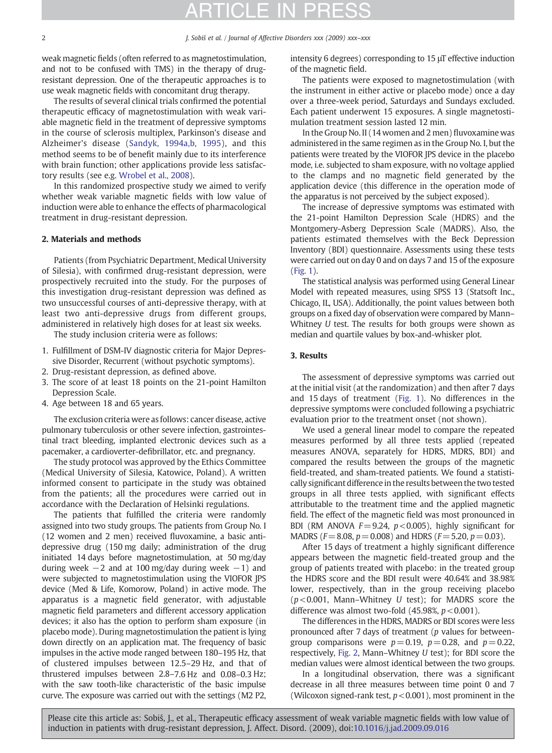# TICI E IN PRE

weak magnetic fields (often referred to as magnetostimulation, and not to be confused with TMS) in the therapy of drugresistant depression. One of the therapeutic approaches is to use weak magnetic fields with concomitant drug therapy.

The results of several clinical trials confirmed the potential therapeutic efficacy of magnetostimulation with weak variable magnetic field in the treatment of depressive symptoms in the course of sclerosis multiplex, Parkinson's disease and Alzheimer's disease ([Sandyk, 1994a,b, 1995](#page-5-0)), and this method seems to be of benefit mainly due to its interference with brain function; other applications provide less satisfactory results (see e.g. [Wrobel et al., 2008\)](#page-5-0).

In this randomized prospective study we aimed to verify whether weak variable magnetic fields with low value of induction were able to enhance the effects of pharmacological treatment in drug-resistant depression.

### 2. Materials and methods

Patients (from Psychiatric Department, Medical University of Silesia), with confirmed drug-resistant depression, were prospectively recruited into the study. For the purposes of this investigation drug-resistant depression was defined as two unsuccessful courses of anti-depressive therapy, with at least two anti-depressive drugs from different groups, administered in relatively high doses for at least six weeks.

The study inclusion criteria were as follows:

- 1. Fulfillment of DSM-IV diagnostic criteria for Major Depressive Disorder, Recurrent (without psychotic symptoms).
- 2. Drug-resistant depression, as defined above.
- 3. The score of at least 18 points on the 21-point Hamilton Depression Scale.
- 4. Age between 18 and 65 years.

The exclusion criteria were as follows: cancer disease, active pulmonary tuberculosis or other severe infection, gastrointestinal tract bleeding, implanted electronic devices such as a pacemaker, a cardioverter-defibrillator, etc. and pregnancy.

The study protocol was approved by the Ethics Committee (Medical University of Silesia, Katowice, Poland). A written informed consent to participate in the study was obtained from the patients; all the procedures were carried out in accordance with the Declaration of Helsinki regulations.

The patients that fulfilled the criteria were randomly assigned into two study groups. The patients from Group No. I (12 women and 2 men) received fluvoxamine, a basic antidepressive drug (150 mg daily; administration of the drug initiated 14 days before magnetostimulation, at 50 mg/day during week  $-2$  and at 100 mg/day during week  $-1$ ) and were subjected to magnetostimulation using the VIOFOR JPS device (Med & Life, Komorow, Poland) in active mode. The apparatus is a magnetic field generator, with adjustable magnetic field parameters and different accessory application devices; it also has the option to perform sham exposure (in placebo mode). During magnetostimulation the patient is lying down directly on an application mat. The frequency of basic impulses in the active mode ranged between 180–195 Hz, that of clustered impulses between 12.5–29 Hz, and that of thrustered impulses between 2.8–7.6 Hz and 0.08–0.3 Hz; with the saw tooth-like characteristic of the basic impulse curve. The exposure was carried out with the settings (M2 P2, intensity 6 degrees) corresponding to 15 μT effective induction of the magnetic field.

The patients were exposed to magnetostimulation (with the instrument in either active or placebo mode) once a day over a three-week period, Saturdays and Sundays excluded. Each patient underwent 15 exposures. A single magnetostimulation treatment session lasted 12 min.

In the Group No. II (14 women and 2 men) fluvoxamine was administered in the same regimen as in the Group No. I, but the patients were treated by the VIOFOR JPS device in the placebo mode, i.e. subjected to sham exposure, with no voltage applied to the clamps and no magnetic field generated by the application device (this difference in the operation mode of the apparatus is not perceived by the subject exposed).

The increase of depressive symptoms was estimated with the 21-point Hamilton Depression Scale (HDRS) and the Montgomery-Asberg Depression Scale (MADRS). Also, the patients estimated themselves with the Beck Depression Inventory (BDI) questionnaire. Assessments using these tests were carried out on day 0 and on days 7 and 15 of the exposure ([Fig. 1](#page-2-0)).

The statistical analysis was performed using General Linear Model with repeated measures, using SPSS 13 (Statsoft Inc., Chicago, IL, USA). Additionally, the point values between both groups on a fixed day of observation were compared by Mann– Whitney U test. The results for both groups were shown as median and quartile values by box-and-whisker plot.

### 3. Results

The assessment of depressive symptoms was carried out at the initial visit (at the randomization) and then after 7 days and 15 days of treatment ([Fig. 1\)](#page-2-0). No differences in the depressive symptoms were concluded following a psychiatric evaluation prior to the treatment onset (not shown).

We used a general linear model to compare the repeated measures performed by all three tests applied (repeated measures ANOVA, separately for HDRS, MDRS, BDI) and compared the results between the groups of the magnetic field-treated, and sham-treated patients. We found a statistically significant difference in the results between the two tested groups in all three tests applied, with significant effects attributable to the treatment time and the applied magnetic field. The effect of the magnetic field was most pronounced in BDI (RM ANOVA  $F=9.24$ ,  $p < 0.005$ ), highly significant for MADRS ( $F=8.08$ ,  $p=0.008$ ) and HDRS ( $F=5.20$ ,  $p=0.03$ ).

After 15 days of treatment a highly significant difference appears between the magnetic field-treated group and the group of patients treated with placebo: in the treated group the HDRS score and the BDI result were 40.64% and 38.98% lower, respectively, than in the group receiving placebo  $(p<0.001$ , Mann–Whitney U test); for MADRS score the difference was almost two-fold  $(45.98\%, p < 0.001)$ .

The differences in the HDRS, MADRS or BDI scores were less pronounced after 7 days of treatment (p values for betweengroup comparisons were  $p = 0.19$ ,  $p = 0.28$ , and  $p = 0.22$ . respectively, [Fig. 2,](#page-3-0) Mann–Whitney U test); for BDI score the median values were almost identical between the two groups.

In a longitudinal observation, there was a significant decrease in all three measures between time point 0 and 7 (Wilcoxon signed-rank test,  $p < 0.001$ ), most prominent in the

Please cite this article as: Sobiś, J., et al., Therapeutic efficacy assessment of weak variable magnetic fields with low value of induction in patients with drug-resistant depression, J. Affect. Disord. (2009), doi:[10.1016/j.jad.2009.09.016](http://dx.doi.org/10.1016/j.jad.2009.09.016)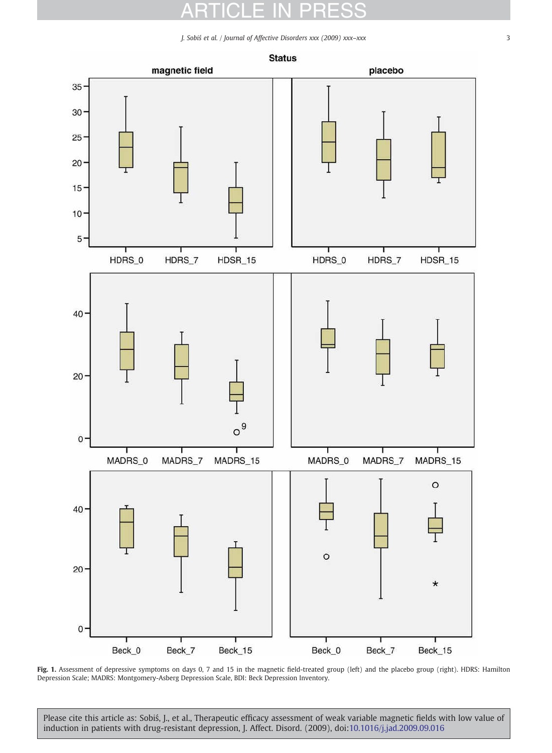# ARTICLE IN PRESS

J. Sobiś et al. / Journal of Affective Disorders xxx (2009) xxx–xxx 3



Fig. 1. Assessment of depressive symptoms on days 0, 7 and 15 in the magnetic field-treated group (left) and the placebo group (right). HDRS: Hamilton Depression Scale; MADRS: Montgomery-Asberg Depression Scale, BDI: Beck Depression Inventory.

<span id="page-2-0"></span>Please cite this article as: Sobiś, J., et al., Therapeutic efficacy assessment of weak variable magnetic fields with low value of induction in patients with drug-resistant depression, J. Affect. Disord. (2009), doi[:10.1016/j.jad.2009.09.016](http://dx.doi.org/10.1016/j.jad.2009.09.016)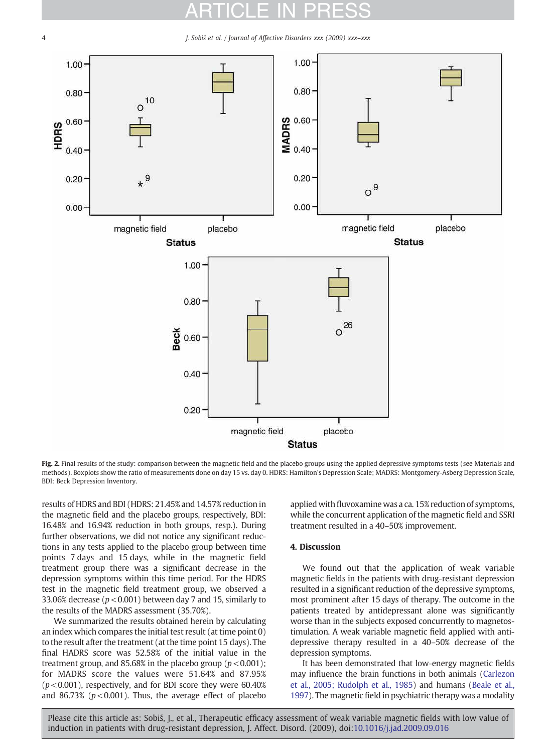# ARTICLE IN PRESS

4 J. Sobiś et al. / Journal of Affective Disorders xxx (2009) xxx–xxx



Fig. 2. Final results of the study: comparison between the magnetic field and the placebo groups using the applied depressive symptoms tests (see Materials and methods). Boxplots show the ratio of measurements done on day 15 vs. day 0. HDRS: Hamilton's Depression Scale; MADRS: Montgomery-Asberg Depression Scale, BDI: Beck Depression Inventory.

results of HDRS and BDI (HDRS: 21.45% and 14.57% reduction in the magnetic field and the placebo groups, respectively, BDI: 16.48% and 16.94% reduction in both groups, resp.). During further observations, we did not notice any significant reductions in any tests applied to the placebo group between time points 7 days and 15 days, while in the magnetic field treatment group there was a significant decrease in the depression symptoms within this time period. For the HDRS test in the magnetic field treatment group, we observed a 33.06% decrease ( $p < 0.001$ ) between day 7 and 15, similarly to the results of the MADRS assessment (35.70%).

We summarized the results obtained herein by calculating an index which compares the initial test result (at time point 0) to the result after the treatment (at the time point 15 days). The final HADRS score was 52.58% of the initial value in the treatment group, and 85.68% in the placebo group ( $p < 0.001$ ); for MADRS score the values were 51.64% and 87.95%  $(p<0.001)$ , respectively, and for BDI score they were 60.40% and 86.73% ( $p < 0.001$ ). Thus, the average effect of placebo

applied with fluvoxamine was a ca. 15% reduction of symptoms, while the concurrent application of the magnetic field and SSRI treatment resulted in a 40–50% improvement.

### 4. Discussion

We found out that the application of weak variable magnetic fields in the patients with drug-resistant depression resulted in a significant reduction of the depressive symptoms, most prominent after 15 days of therapy. The outcome in the patients treated by antidepressant alone was significantly worse than in the subjects exposed concurrently to magnetostimulation. A weak variable magnetic field applied with antidepressive therapy resulted in a 40–50% decrease of the depression symptoms.

It has been demonstrated that low-energy magnetic fields may influence the brain functions in both animals [\(Carlezon](#page-5-0) [et al., 2005; Rudolph et al., 1985](#page-5-0)) and humans ([Beale et al.,](#page-4-0) [1997](#page-4-0)). The magnetic field in psychiatric therapy was a modality

<span id="page-3-0"></span>Please cite this article as: Sobiś, J., et al., Therapeutic efficacy assessment of weak variable magnetic fields with low value of induction in patients with drug-resistant depression, J. Affect. Disord. (2009), doi:[10.1016/j.jad.2009.09.016](http://dx.doi.org/10.1016/j.jad.2009.09.016)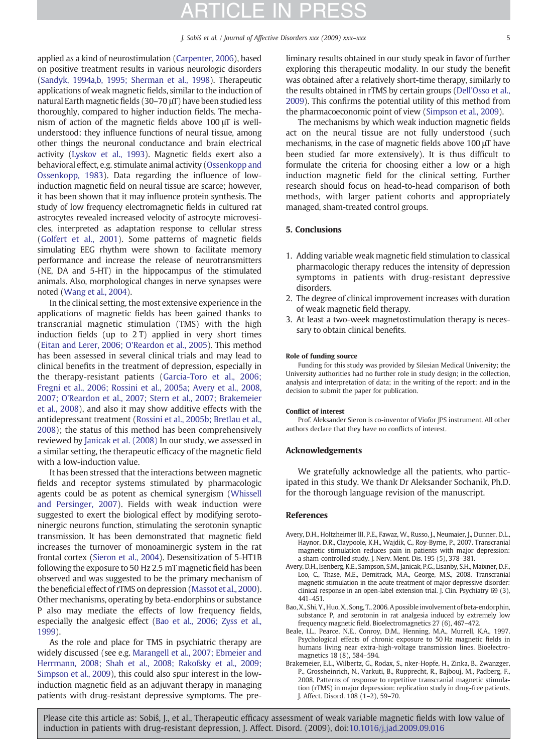## ATICLE IN PR

applied as a kind of neurostimulation ([Carpenter, 2006](#page-5-0)), based on positive treatment results in various neurologic disorders [\(Sandyk, 1994a,b, 1995; Sherman et al., 1998\)](#page-5-0). Therapeutic applications of weak magnetic fields, similar to the induction of natural Earth magnetic fields (30–70 μT) have been studied less thoroughly, compared to higher induction fields. The mechanism of action of the magnetic fields above 100 μT is wellunderstood: they influence functions of neural tissue, among other things the neuronal conductance and brain electrical activity ([Lyskov et al., 1993\)](#page-5-0). Magnetic fields exert also a behavioral effect, e.g. stimulate animal activity [\(Ossenkopp and](#page-5-0) [Ossenkopp, 1983\)](#page-5-0). Data regarding the influence of lowinduction magnetic field on neural tissue are scarce; however, it has been shown that it may influence protein synthesis. The study of low frequency electromagnetic fields in cultured rat astrocytes revealed increased velocity of astrocyte microvesicles, interpreted as adaptation response to cellular stress [\(Golfert et al., 2001](#page-5-0)). Some patterns of magnetic fields simulating EEG rhythm were shown to facilitate memory performance and increase the release of neurotransmitters (NE, DA and 5-HT) in the hippocampus of the stimulated animals. Also, morphological changes in nerve synapses were noted [\(Wang et al., 2004\)](#page-5-0).

In the clinical setting, the most extensive experience in the applications of magnetic fields has been gained thanks to transcranial magnetic stimulation (TMS) with the high induction fields (up to 2 T) applied in very short times [\(Eitan and Lerer, 2006; O'Reardon et al., 2005](#page-5-0)). This method has been assessed in several clinical trials and may lead to clinical benefits in the treatment of depression, especially in the therapy-resistant patients ([Garcia-Toro et al., 2006;](#page-5-0) [Fregni et al., 2006; Rossini et al., 2005a; Avery et al., 2008,](#page-5-0) [2007; O'Reardon et al., 2007; Stern et al., 2007; Brakemeier](#page-5-0) [et al., 2008\)](#page-5-0), and also it may show additive effects with the antidepressant treatment ([Rossini et al., 2005b; Bretlau et al.,](#page-5-0) [2008](#page-5-0)); the status of this method has been comprehensively reviewed by [Janicak et al. \(2008\)](#page-5-0) In our study, we assessed in a similar setting, the therapeutic efficacy of the magnetic field with a low-induction value.

It has been stressed that the interactions between magnetic fields and receptor systems stimulated by pharmacologic agents could be as potent as chemical synergism ([Whissell](#page-5-0) and [Persinger, 2007\)](#page-5-0). Fields with weak induction were suggested to exert the biological effect by modifying serotoninergic neurons function, stimulating the serotonin synaptic transmission. It has been demonstrated that magnetic field increases the turnover of monoaminergic system in the rat frontal cortex ([Sieron et al., 2004\)](#page-5-0). Desensitization of 5-HT1B following the exposure to 50 Hz 2.5 mT magnetic field has been observed and was suggested to be the primary mechanism of the beneficial effect of rTMS on depression [\(Massot et al., 2000\)](#page-5-0). Other mechanisms, operating by beta-endorphins or substance P also may mediate the effects of low frequency fields, especially the analgesic effect [\(Bao et al., 2006; Zyss et al.,](#page-4-0) [1999\)](#page-4-0).

As the role and place for TMS in psychiatric therapy are widely discussed (see e.g. [Marangell et al., 2007; Ebmeier and](#page-5-0) [Herrmann, 2008; Shah et al., 2008; Rakofsky et al., 2009;](#page-5-0) [Simpson et al., 2009](#page-5-0)), this could also spur interest in the lowinduction magnetic field as an adjuvant therapy in managing patients with drug-resistant depressive symptoms. The preliminary results obtained in our study speak in favor of further exploring this therapeutic modality. In our study the benefit was obtained after a relatively short-time therapy, similarly to the results obtained in rTMS by certain groups [\(Dell'Osso et al.,](#page-5-0) [2009\)](#page-5-0). This confirms the potential utility of this method from the pharmacoeconomic point of view [\(Simpson et al., 2009\)](#page-5-0).

The mechanisms by which weak induction magnetic fields act on the neural tissue are not fully understood (such mechanisms, in the case of magnetic fields above 100 μT have been studied far more extensively). It is thus difficult to formulate the criteria for choosing either a low or a high induction magnetic field for the clinical setting. Further research should focus on head-to-head comparison of both methods, with larger patient cohorts and appropriately managed, sham-treated control groups.

### 5. Conclusions

- 1. Adding variable weak magnetic field stimulation to classical pharmacologic therapy reduces the intensity of depression symptoms in patients with drug-resistant depressive disorders.
- 2. The degree of clinical improvement increases with duration of weak magnetic field therapy.
- 3. At least a two-week magnetostimulation therapy is necessary to obtain clinical benefits.

### Role of funding source

Funding for this study was provided by Silesian Medical University; the University authorities had no further role in study design; in the collection, analysis and interpretation of data; in the writing of the report; and in the decision to submit the paper for publication.

#### Conflict of interest

Prof. Aleksander Sieron is co-inventor of Viofor JPS instrument. All other authors declare that they have no conflicts of interest.

### Acknowledgements

We gratefully acknowledge all the patients, who participated in this study. We thank Dr Aleksander Sochanik, Ph.D. for the thorough language revision of the manuscript.

### **References**

- Avery, D.H., Holtzheimer III, P.E., Fawaz, W., Russo, J., Neumaier, J., Dunner, D.L., Haynor, D.R., Claypoole, K.H., Wajdik, C., Roy-Byrne, P., 2007. Transcranial magnetic stimulation reduces pain in patients with major depression: a sham-controlled study. J. Nerv. Ment. Dis. 195 (5), 378–381.
- Avery, D.H., Isenberg, K.E., Sampson, S.M., Janicak, P.G., Lisanby, S.H., Maixner, D.F., Loo, C., Thase, M.E., Demitrack, M.A., George, M.S., 2008. Transcranial magnetic stimulation in the acute treatment of major depressive disorder: clinical response in an open-label extension trial. J. Clin. Psychiatry 69 (3), 441–451.
- Bao, X., Shi, Y., Huo, X., Song, T., 2006. A possible involvement of beta-endorphin, substance P, and serotonin in rat analgesia induced by extremely low frequency magnetic field. Bioelectromagnetics 27 (6), 467–472.
- Beale, I.L., Pearce, N.E., Conroy, D.M., Henning, M.A., Murrell, K.A., 1997. Psychological effects of chronic exposure to 50 Hz magnetic fields in humans living near extra-high-voltage transmission lines. Bioelectromagnetics 18 (8), 584–594.
- Brakemeier, E.L., Wilbertz, G., Rodax, S., nker-Hopfe, H., Zinka, B., Zwanzger, P., Grossheinrich, N., Varkuti, B., Rupprecht, R., Bajbouj, M., Padberg, F., 2008. Patterns of response to repetitive transcranial magnetic stimulation (rTMS) in major depression: replication study in drug-free patients. J. Affect. Disord. 108 (1–2), 59–70.

<span id="page-4-0"></span>Please cite this article as: Sobiś, J., et al., Therapeutic efficacy assessment of weak variable magnetic fields with low value of induction in patients with drug-resistant depression, J. Affect. Disord. (2009), doi:10.1016/i.jad.2009.09.016